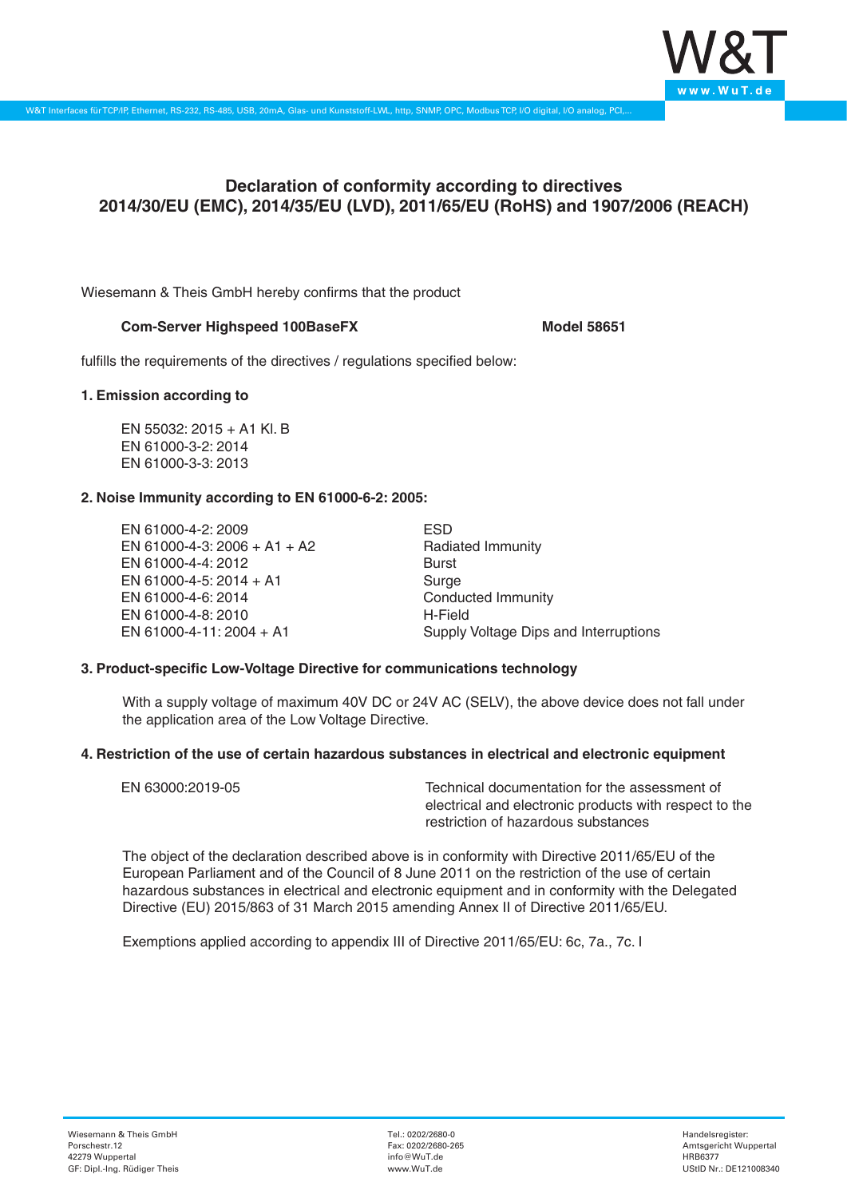

# **Declaration of conformity according to directives 2014/30/EU (EMC), 2014/35/EU (LVD), 2011/65/EU (RoHS) and 1907/2006 (REACH)**

Wiesemann & Theis GmbH hereby confirms that the product

## **Com-Server Highspeed 100BaseFX** Model 58651

fulfills the requirements of the directives / regulations specified below:

#### **1. Emission according to**

EN 55032: 2015 + A1 Kl. B EN 61000-3-2: 2014 EN 61000-3-3: 2013

### **2. Noise Immunity according to EN 61000-6-2: 2005:**

EN 61000-4-2: 2009 EN 61000-4-3: 2006 + A1 + A2 EN 61000-4-4: 2012 EN 61000-4-5: 2014 + A1 EN 61000-4-6: 2014 EN 61000-4-8: 2010 EN 61000-4-11: 2004 + A1

ESD Radiated Immunity Burst Surge Conducted Immunity H-Field Supply Voltage Dips and Interruptions

### **3. Product-specific Low-Voltage Directive for communications technology**

With a supply voltage of maximum 40V DC or 24V AC (SELV), the above device does not fall under the application area of the Low Voltage Directive.

### **4. Restriction of the use of certain hazardous substances in electrical and electronic equipment**

| EN 63000:2019-05 | Technical documentation for the assessment of          |
|------------------|--------------------------------------------------------|
|                  | electrical and electronic products with respect to the |
|                  | restriction of hazardous substances                    |

The object of the declaration described above is in conformity with Directive 2011/65/EU of the European Parliament and of the Council of 8 June 2011 on the restriction of the use of certain hazardous substances in electrical and electronic equipment and in conformity with the Delegated Directive (EU) 2015/863 of 31 March 2015 amending Annex II of Directive 2011/65/EU.

Exemptions applied according to appendix III of Directive 2011/65/EU: 6c, 7a., 7c. I